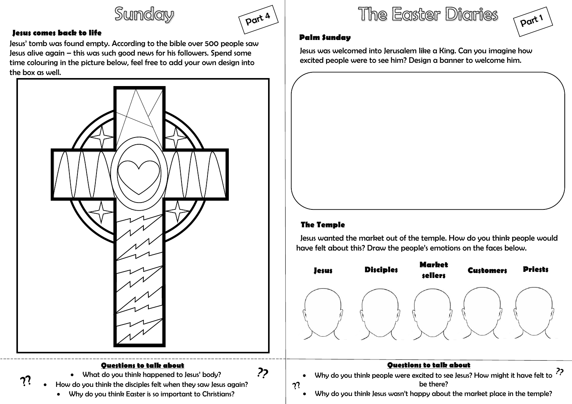Sunday



### **Jesus comes back to life**

Jesus' tomb was found empty. According to the bible over 500 people saw Jesus alive again – this was such good news for his followers. Spend some time colouring in the picture below, feel free to add your own design into the box as well.



Why do you think Easter is so important to Christians?

The Easter Diaries



### **Palm Sunday**

Jesus was welcomed into Jerusalem like a King. Can you imagine how excited people were to see him? Design a banner to welcome him.

### **The Temple**

 Jesus wanted the market out of the temple. How do you think people would have felt about this? Draw the people's emotions on the faces below.



#### **Questions to talk about**

 Why do you think people were excited to see Jesus? How might it have felt to be there?  $\boldsymbol{v}$ 

Why do you think Jesus wasn't happy about the market place in the temple?